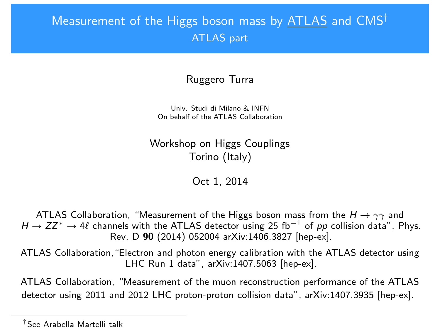# <span id="page-0-0"></span>Measurement of the Higgs boson mass by ATLAS and CMS† ATLAS part

### Ruggero Turra

Univ. Studi di Milano & INFN On behalf of the ATLAS Collaboration

Workshop on Higgs Couplings Torino (Italy)

Oct 1, 2014

ATLAS Collaboration, "Measurement of the Higgs boson mass from the  $H \rightarrow \gamma\gamma$  and  $H \to ZZ^* \to 4\ell$  channels with the ATLAS detector using 25 fb<sup>-1</sup> of pp collision data", Phys. Rev. D 90 (2014) 052004 arXiv:1406.3827 [hep-ex].

ATLAS Collaboration,"Electron and photon energy calibration with the ATLAS detector using LHC Run 1 data", arXiv:1407.5063 [hep-ex].

ATLAS Collaboration, "Measurement of the muon reconstruction performance of the ATLAS detector using 2011 and 2012 LHC proton-proton collision data", arXiv:1407.3935 [hep-ex].

<sup>†</sup>See Arabella Martelli talk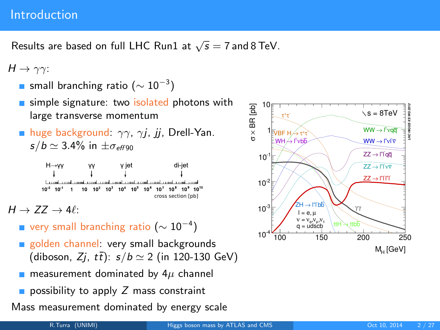### Introduction

Results are based on full LHC Run1 at  $\sqrt{s}=7$  and 8 TeV.

 $H \rightarrow \gamma \gamma$ :

- small branching ratio ( $\sim 10^{-3})$
- simple signature: two isolated photons with large transverse momentum
- **huge background:**  $\gamma\gamma$ ,  $\gamma i$ , *ii*, Drell-Yan.  $s/b \simeq 3.4\%$  in  $\pm \sigma_{eff,90}$

 $H \rightarrow YY$ y jet di-iet  $1$  10  $10^{2}$   $10^{3}$   $10^{4}$   $10^{5}$   $10^{6}$   $10^{7}$   $10^{8}$  $10^{-1}$ cross section [pb]

 $H \rightarrow ZZ \rightarrow 4\ell$ :

- very small branching ratio  $(\sim 10^{-4})$
- golden channel: very small backgrounds (diboson, Zj,  $t\bar{t}$ ):  $s/b \simeq 2$  (in 120-130 GeV)<br>
measurement dominated by  $4\mu$  channel<br>
possibility to apply Z mass constraint
- **n** measurement dominated by  $4\mu$  channel
- 

Mass measurement dominated by energy scale

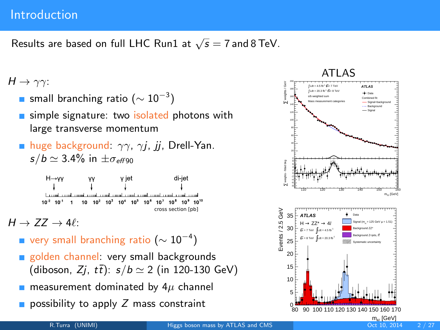### Introduction

Results are based on full LHC Run1 at  $\sqrt{s}=7$  and 8 TeV.

### $H \rightarrow \gamma \gamma$ :

- small branching ratio ( $\sim 10^{-3})$
- simple signature: two isolated photons with large transverse momentum
- **huge background:**  $\gamma\gamma$ ,  $\gamma j$ ,  $jj$ , Drell-Yan.  $s/b \simeq 3.4\%$  in  $\pm \sigma_{eff,90}$

 $H \rightarrow VV$ y jet di-jet  $10 \t10^2 \t10^3 \t10^4 \t10^5 \t10^6 \t10^7 \t10^8 \t10^9 \t10^{10}$  $10^{-2}$  $10^{-1}$  1 cross section [pb]

 $H \rightarrow ZZ \rightarrow 4\ell$ 

- very small branching ratio  $(\sim 10^{-4})$
- golden channel: very small backgrounds (diboson,  $Zj$ ,  $t\bar{t}$ ):  $s/b \simeq 2$  (in 120-130 GeV)
- measurement dominated by  $4\mu$  channel
- possibility to apply  $Z$  mass constraint

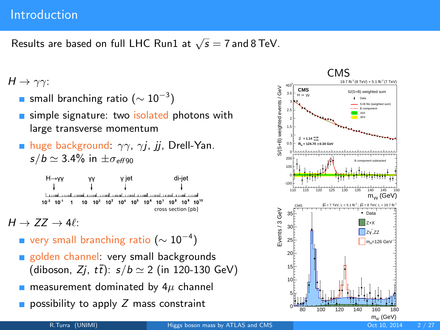### Introduction

Results are based on full LHC Run1 at  $\sqrt{s}=7$  and 8 TeV.

### $H \rightarrow \gamma \gamma$ :

- small branching ratio ( $\sim 10^{-3})$
- simple signature: two isolated photons with large transverse momentum
- **huge background:**  $\gamma\gamma$ ,  $\gamma j$ ,  $jj$ , Drell-Yan.  $s/b \simeq 3.4\%$  in  $\pm \sigma_{eff,90}$

 $H \rightarrow VV$ y jet di-jet  $10^{-2}$  $10^{-1}$  1  $10 \t10^2 \t10^3 \t10^4 \t10^5 \t10^6$  $10^7$   $10^8$   $10^9$   $10^{10}$ cross section [pb]

 $H \rightarrow ZZ \rightarrow 4\ell$ :

- very small branching ratio  $(\sim 10^{-4})$
- golden channel: very small backgrounds (diboson,  $Zj$ ,  $t\bar{t}$ ):  $s/b \simeq 2$  (in 120-130 GeV)
- measurement dominated by  $4\mu$  channel
- possibility to apply  $Z$  mass constraint

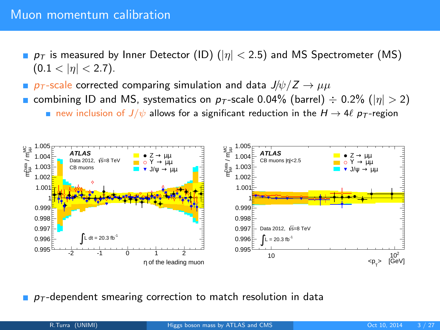- p<sub>T</sub> is measured by Inner Detector (ID) ( $|\eta| < 2.5$ ) and MS Spectrometer (MS)  $(0.1 < |\eta| < 2.7)$ .
- **p**  $p_T$ -scale corrected comparing simulation and data  $J/\psi/Z \rightarrow \mu\mu$
- combining ID and MS, systematics on  $p<sub>T</sub>$ -scale 0.04% (barrel)  $\div$  0.2% ( $|\eta| > 2$ ) new inclusion of  $J/\psi$  allows for a significant reduction in the  $H \to 4\ell p_T$ -region



 $p<sub>T</sub>$ -dependent smearing correction to match resolution in data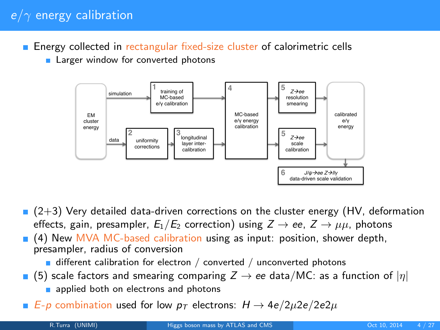## $e/\gamma$  energy calibration

- **Energy collected in rectangular fixed-size cluster of calorimetric cells** 
	- **Larger window for converted photons**



- $(2+3)$  Very detailed data-driven corrections on the cluster energy (HV, deformation effects, gain, presampler,  $E_1/E_2$  correction) using  $Z \rightarrow ee$ ,  $Z \rightarrow \mu\mu$ , photons
- **(4) New MVA MC-based calibration using as input: position, shower depth,** presampler, radius of conversion

 $\blacksquare$  different calibration for electron / converted / unconverted photons

- (5) scale factors and smearing comparing  $Z \rightarrow ee$  data/MC: as a function of  $|\eta|$ 
	- applied both on electrons and photons
- **■** E-p combination used for low  $p<sub>T</sub>$  electrons:  $H \rightarrow 4e/2\mu$ 2e/2e2 $\mu$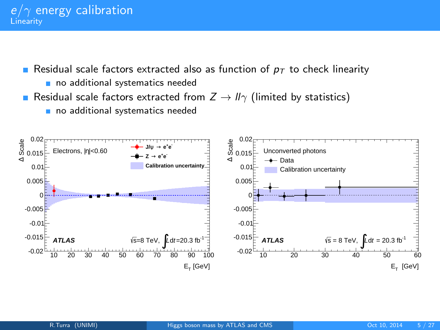Residual scale factors extracted also as function of  $p<sub>T</sub>$  to check linearity no additional systematics needed

- Residual scale factors extracted from  $Z \rightarrow \mathbb{I}\gamma$  (limited by statistics)
	- no additional systematics needed

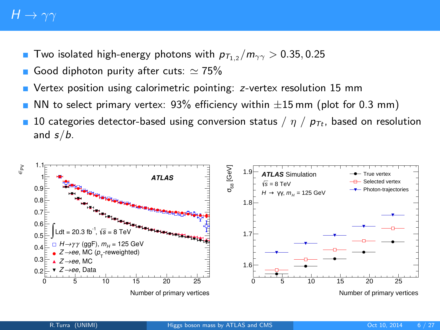# $H \rightarrow \gamma\gamma$

- Two isolated high-energy photons with  $p_{T_{1,2}} / m_{\gamma\gamma} > 0.35, 0.25$
- Good diphoton purity after cuts:  $\simeq 75\%$
- Vertex position using calorimetric pointing: z-vertex resolution 15 mm
- NN to select primary vertex:  $93\%$  efficiency within  $\pm 15$  mm (plot for 0.3 mm)
- 10 categories detector-based using conversion status /  $\eta$  /  $p_{\text{Tt}}$ , based on resolution and  $s/b$ .

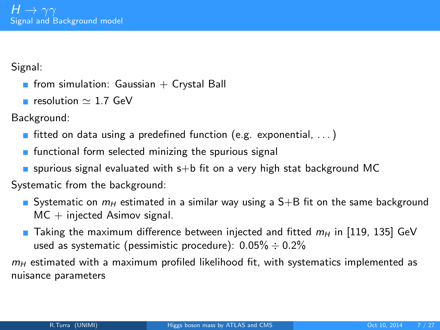Signal:

- **from simulation: Gaussian + Crystal Ball**
- resolution  $\simeq$  1.7 GeV

Background:

- fitted on data using a predefined function (e.g. exponential,  $\ldots$ )
- $\blacksquare$  functional form selected minizing the spurious signal
- **s** spurious signal evaluated with  $s+b$  fit on a very high stat background MC

Systematic from the background:

- Systematic on  $m_H$  estimated in a similar way using a S+B fit on the same background  $MC + injected$  Asimov signal.
- Taking the maximum difference between injected and fitted  $m_H$  in [119, 135] GeV used as systematic (pessimistic procedure):  $0.05\% \div 0.2\%$

 $m_H$  estimated with a maximum profiled likelihood fit, with systematics implemented as nuisance parameters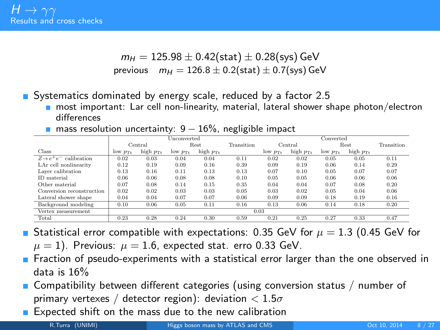$$
m_H = 125.98 \pm 0.42 \text{(stat)} \pm 0.28 \text{(sys)} \text{ GeV}
$$
  
previous  $m_H = 126.8 \pm 0.2 \text{(stat)} \pm 0.7 \text{(sys)} \text{ GeV}$ 

Systematics dominated by energy scale, reduced by a factor 2.5

- m most important: Lar cell non-linearity, material, lateral shower shape photon/electron differences
- mass resolution uncertainty:  $9 16\%$ , negligible impact

|                                    | Unconverted         |                      |                     |                      |            | Converted           |                      |                       |                      |            |
|------------------------------------|---------------------|----------------------|---------------------|----------------------|------------|---------------------|----------------------|-----------------------|----------------------|------------|
|                                    |                     | Central              | Rest                |                      | Transition | Central             |                      | Rest                  |                      | Transition |
| Class                              | $low p_{\text{TL}}$ | high $p_{\text{Tt}}$ | $low p_{\text{Tt}}$ | high $p_{\text{Tt}}$ |            | $low p_{\text{Tr}}$ | high $p_{\text{Tt}}$ | $low$ $p_{\text{Tt}}$ | high $p_{\text{Tt}}$ |            |
| $Z \rightarrow e^+e^-$ calibration | 0.02                | 0.03                 | 0.04                | 0.04                 | 0.11       | 0.02                | 0.02                 | 0.05                  | 0.05                 | 0.11       |
| LAr cell nonlinearity              | 0.12                | 0.19                 | 0.09                | 0.16                 | 0.39       | 0.09                | 0.19                 | 0.06                  | 0.14                 | 0.29       |
| Laver calibration                  | 0.13                | 0.16                 | 0.11                | 0.13                 | 0.13       | 0.07                | 0.10                 | 0.05                  | 0.07                 | 0.07       |
| ID material                        | 0.06                | 0.06                 | 0.08                | 0.08                 | 0.10       | 0.05                | 0.05                 | 0.06                  | 0.06                 | 0.06       |
| Other material                     | 0.07                | 0.08                 | 0.14                | 0.15                 | 0.35       | 0.04                | 0.04                 | 0.07                  | 0.08                 | 0.20       |
| Conversion reconstruction          | 0.02                | 0.02                 | 0.03                | 0.03                 | 0.05       | 0.03                | 0.02                 | 0.05                  | 0.04                 | 0.06       |
| Lateral shower shape               | 0.04                | 0.04                 | 0.07                | 0.07                 | 0.06       | 0.09                | 0.09                 | 0.18                  | 0.19                 | 0.16       |
| Background modeling                | 0.10                | 0.06                 | 0.05                | 0.11                 | 0.16       | 0.13                | 0.06                 | 0.14                  | 0.18                 | 0.20       |
| Vertex measurement                 | 0.03                |                      |                     |                      |            |                     |                      |                       |                      |            |
| Total                              | 0.23                | 0.28                 | 0.24                | 0.30                 | 0.59       | 0.21                | 0.25                 | 0.27                  | 0.33                 | 0.47       |

Statistical error compatible with expectations: 0.35 GeV for  $\mu = 1.3$  (0.45 GeV for  $\mu = 1$ ). Previous:  $\mu = 1.6$ , expected stat. erro 0.33 GeV.

- **F** Fraction of pseudo-experiments with a statistical error larger than the one observed in data is 16%
- **Compatibility between different categories (using conversion status / number of** primary vertexes / detector region): deviation  $< 1.5\sigma$
- Expected shift on the mass due to the new calibration

R.Turra (UNIMI) [Higgs boson mass by ATLAS and CMS](#page-0-0) Oct 10, 2014 8/27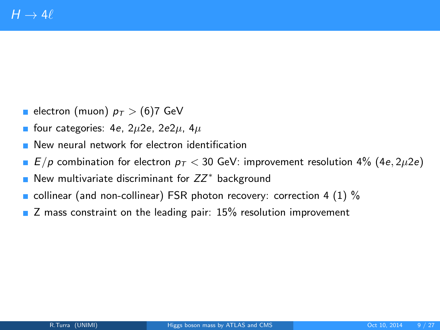- electron (muon)  $p_T > (6)7$  GeV
- **four categories:** 4e,  $2\mu$ 2e,  $2e2\mu$ ,  $4\mu$
- **New neural network for electron identification**
- $E/p$  combination for electron  $p<sub>T</sub> < 30$  GeV: improvement resolution 4% (4e, 2 $\mu$ 2e)
- New multivariate discriminant for  $ZZ^*$  background
- collinear (and non-collinear) FSR photon recovery: correction 4 (1)  $\%$
- Z mass constraint on the leading pair: 15% resolution improvement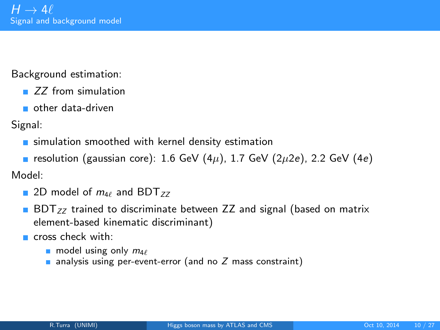Background estimation:

- ZZ from simulation
- other data-driven

Signal:

- **Example 1** simulation smoothed with kernel density estimation
- resolution (gaussian core): 1.6 GeV (4 $\mu$ ), 1.7 GeV (2 $\mu$ 2e), 2.2 GeV (4e)

Model:

- 2D model of  $m_{4\ell}$  and BDT<sub>ZZ</sub>
- $BDT_{ZZ}$  trained to discriminate between ZZ and signal (based on matrix element-based kinematic discriminant)

cross check with:

- model using only  $m_{4\ell}$
- analysis using per-event-error (and no Z mass constraint)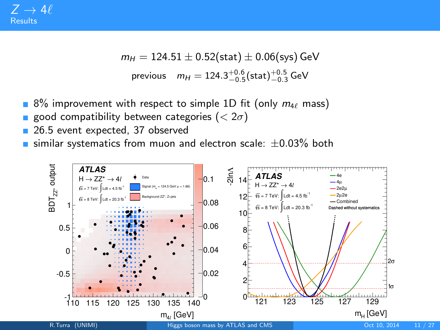$$
m_H = 124.51 \pm 0.52 \text{(stat)} \pm 0.06 \text{(sys)} \text{ GeV}
$$
  
previous  $m_H = 124.3^{+0.6}_{-0.5} \text{(stat)} ^{+0.5}_{-0.3} \text{ GeV}$ 

- 8% improvement with respect to simple 1D fit (only  $m_{4\ell}$  mass)
- good compatibility between categories ( $< 2\sigma$ )
- 26.5 event expected, 37 observed
- similar systematics from muon and electron scale:  $\pm 0.03\%$  both

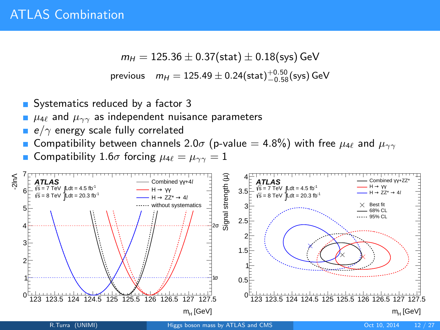$$
m_{H} = 125.36 \pm 0.37 \text{(stat)} \pm 0.18 \text{(sys)} \text{ GeV}
$$
\n
$$
\text{previous} \quad m_{H} = 125.49 \pm 0.24 \text{(stat)}^{+0.50}_{-0.58} \text{(sys)} \text{ GeV}
$$

- Systematics reduced by a factor 3
- $\mu_{4\ell}$  and  $\mu_{\gamma\gamma}$  as independent nuisance parameters
- e/ $\gamma$  energy scale fully correlated
- Compatibility between channels 2.0 $\sigma$  (p-value = 4.8%) with free  $\mu_{4\ell}$  and  $\mu_{\gamma\gamma}$
- Compatibility 1.6 $\sigma$  forcing  $\mu_{4\ell} = \mu_{\gamma\gamma} = 1$

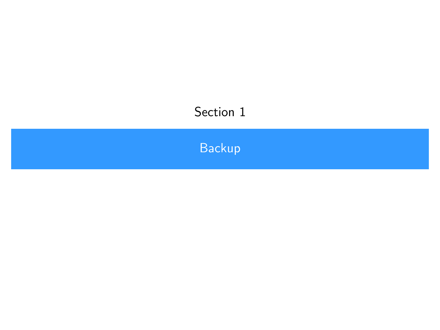# <span id="page-14-0"></span>Section 1

**[Backup](#page-14-0)**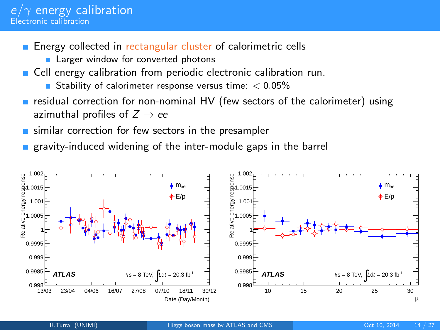- Energy collected in rectangular cluster of calorimetric cells
	- **Larger window for converted photons**
- Cell energy calibration from periodic electronic calibration run.
	- Stability of calorimeter response versus time:  $< 0.05\%$
- **residual correction for non-nominal HV (few sectors of the calorimeter) using** azimuthal profiles of  $Z \rightarrow ee$
- similar correction for few sectors in the presampler
- gravity-induced widening of the inter-module gaps in the barrel

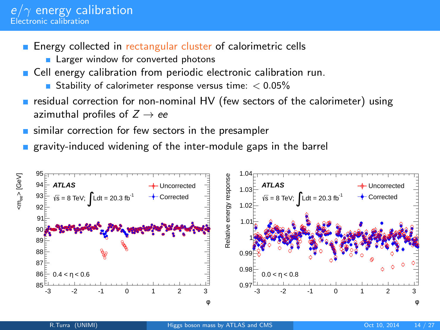- Energy collected in rectangular cluster of calorimetric cells
	- **Larger window for converted photons**
- Cell energy calibration from periodic electronic calibration run.
	- Stability of calorimeter response versus time:  $< 0.05\%$
- $\blacksquare$  residual correction for non-nominal HV (few sectors of the calorimeter) using azimuthal profiles of  $Z \rightarrow ee$
- similar correction for few sectors in the presampler
- gravity-induced widening of the inter-module gaps in the barrel

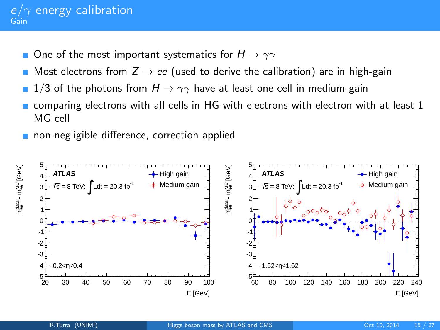#### $e/\gamma$  energy calibration Gain

- One of the most important systematics for  $H \to \gamma\gamma$
- Most electrons from  $Z \rightarrow ee$  (used to derive the calibration) are in high-gain
- 1/3 of the photons from  $H \rightarrow \gamma\gamma$  have at least one cell in medium-gain
- comparing electrons with all cells in HG with electrons with electron with at least 1 MG cell
- non-negligible difference, correction applied

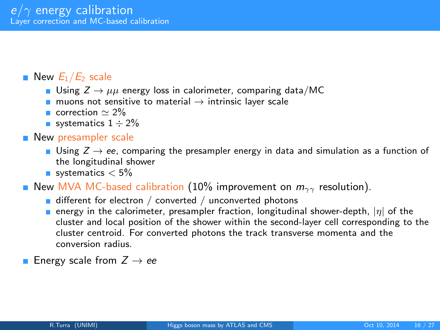### New  $E_1/E_2$  scale

- Using  $Z \rightarrow \mu\mu$  energy loss in calorimeter, comparing data/MC
- muons not sensitive to material  $\rightarrow$  intrinsic layer scale
- correction  $\simeq 2\%$
- systematics  $1 \div 2\%$

#### **New presampler scale**

- Using  $Z \rightarrow ee$ , comparing the presampler energy in data and simulation as a function of the longitudinal shower
- systematics  $< 5\%$

New MVA MC-based calibration (10% improvement on  $m_{\gamma\gamma}$  resolution).

- $\blacksquare$  different for electron / converted / unconverted photons
- **E** energy in the calorimeter, presampler fraction, longitudinal shower-depth,  $|\eta|$  of the cluster and local position of the shower within the second-layer cell corresponding to the cluster centroid. For converted photons the track transverse momenta and the conversion radius.

**Energy scale from**  $Z \rightarrow ee$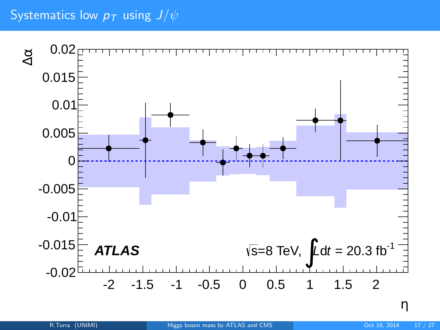# Systematics low  $p_T$  using  $J/\psi$

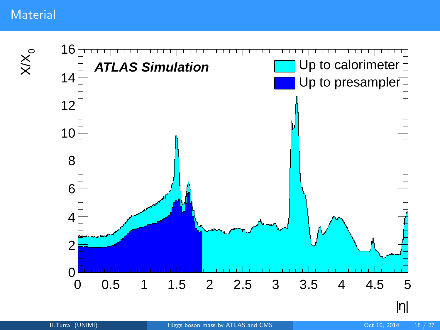## **Material**

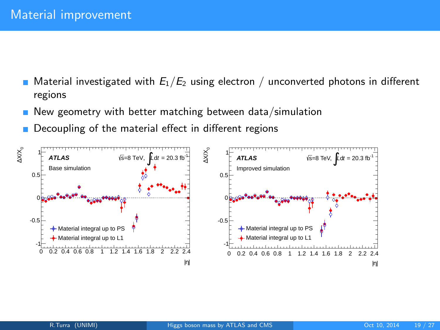- Material investigated with  $E_1/E_2$  using electron / unconverted photons in different regions
- New geometry with better matching between data/simulation
- Decoupling of the material effect in different regions

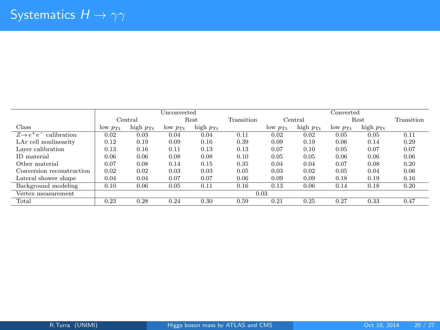|                                    | Unconverted           |                      |                       |                      |            | Converted      |                      |                |                      |            |
|------------------------------------|-----------------------|----------------------|-----------------------|----------------------|------------|----------------|----------------------|----------------|----------------------|------------|
|                                    |                       | Central              | Rest                  |                      | Transition | Central        |                      | Rest           |                      | Transition |
| Class                              | $10W$ $p_{\text{Tt}}$ | high $p_{\text{Tt}}$ | $low$ $p_{\text{Tt}}$ | high $p_{\text{Tt}}$ |            | $low$ $p_{Tt}$ | high $p_{\text{Tt}}$ | $low$ $p_{Tt}$ | high $p_{\text{Tt}}$ |            |
| $Z \rightarrow e^+e^-$ calibration | 0.02                  | 0.03                 | 0.04                  | 0.04                 | 0.11       | 0.02           | 0.02                 | 0.05           | 0.05                 | 0.11       |
| LAr cell nonlinearity              | 0.12                  | 0.19                 | 0.09                  | 0.16                 | 0.39       | 0.09           | 0.19                 | 0.06           | 0.14                 | 0.29       |
| Laver calibration                  | 0.13                  | 0.16                 | 0.11                  | 0.13                 | 0.13       | 0.07           | 0.10                 | 0.05           | 0.07                 | 0.07       |
| ID material                        | 0.06                  | 0.06                 | 0.08                  | 0.08                 | 0.10       | 0.05           | 0.05                 | 0.06           | 0.06                 | 0.06       |
| Other material                     | 0.07                  | 0.08                 | 0.14                  | 0.15                 | 0.35       | 0.04           | 0.04                 | 0.07           | 0.08                 | 0.20       |
| Conversion reconstruction          | 0.02                  | 0.02                 | 0.03                  | 0.03                 | 0.05       | 0.03           | 0.02                 | 0.05           | 0.04                 | 0.06       |
| Lateral shower shape               | 0.04                  | 0.04                 | 0.07                  | 0.07                 | 0.06       | 0.09           | 0.09                 | 0.18           | 0.19                 | 0.16       |
| Background modeling                | 0.10                  | 0.06                 | 0.05                  | 0.11                 | 0.16       | 0.13           | 0.06                 | 0.14           | 0.18                 | 0.20       |
| Vertex measurement                 | 0.03                  |                      |                       |                      |            |                |                      |                |                      |            |
| Total                              | 0.23                  | 0.28                 | 0.24                  | 0.30                 | 0.59       | 0.21           | 0.25                 | 0.27           | 0.33                 | 0.47       |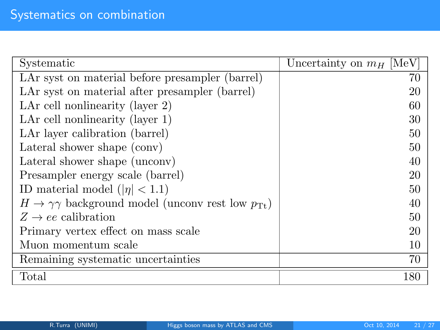| Systematic                                                                       | Uncertainty on $m_H$ [MeV] |
|----------------------------------------------------------------------------------|----------------------------|
| LAr syst on material before presampler (barrel)                                  | 70                         |
| LAr syst on material after presampler (barrel)                                   | 20                         |
| LAr cell nonlinearity (layer 2)                                                  | 60                         |
| LAr cell nonlinearity (layer $1$ )                                               | 30                         |
| LAr layer calibration (barrel)                                                   | 50                         |
| Lateral shower shape (conv)                                                      | 50                         |
| Lateral shower shape (unconv)                                                    | 40                         |
| Presampler energy scale (barrel)                                                 | 20                         |
| ID material model ( $ \eta $ < 1.1)                                              | 50                         |
| $H \rightarrow \gamma\gamma$ background model (unconv rest low $p_{\text{Tt}}$ ) | 40                         |
| $Z \rightarrow ee$ calibration                                                   | 50                         |
| Primary vertex effect on mass scale                                              | 20                         |
| Muon momentum scale                                                              | 10                         |
| Remaining systematic uncertainties                                               | 70                         |
| Total                                                                            | 180                        |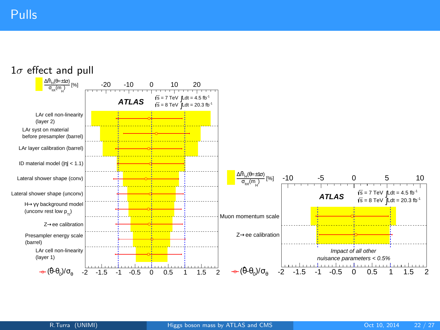#### $1\sigma$  effect and pull

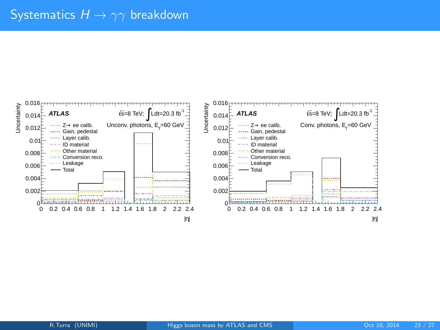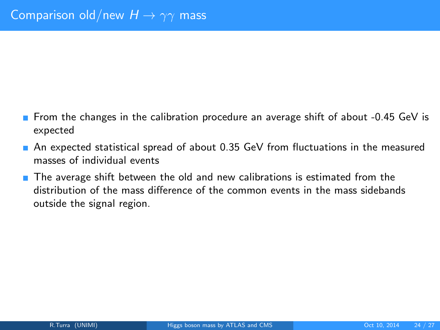- **From the changes in the calibration procedure an average shift of about -0.45 GeV is** expected
- An expected statistical spread of about 0.35 GeV from fluctuations in the measured masses of individual events
- $\blacksquare$  The average shift between the old and new calibrations is estimated from the distribution of the mass difference of the common events in the mass sidebands outside the signal region.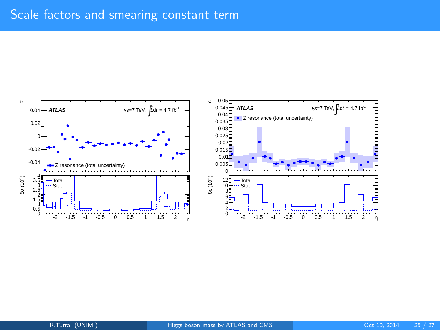## Scale factors and smearing constant term

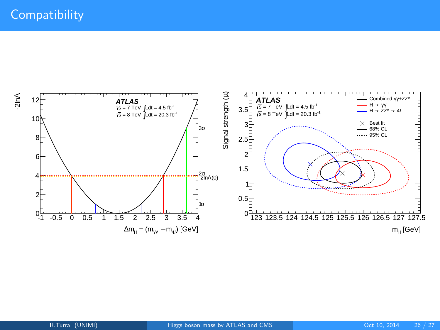